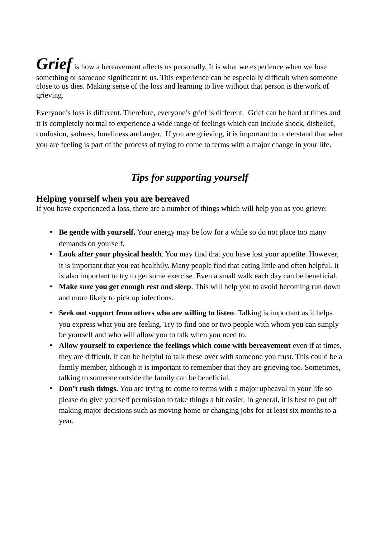*Grief* is how a bereavement affects us personally. It is what we experience when we lose something or someone significant to us. This experience can be especially difficult when someone close to us dies. Making sense of the loss and learning to live without that person is the work of grieving.

Everyone's loss is different. Therefore, everyone's grief is different. Grief can be hard at times and it is completely normal to experience a wide range of feelings which can include shock, disbelief, confusion, sadness, loneliness and anger. If you are grieving, it is important to understand that what you are feeling is part of the process of trying to come to terms with a major change in your life.

## *Tips for supporting yourself*

### **Helping yourself when you are bereaved**

If you have experienced a loss, there are a number of things which will help you as you grieve:

- **Be gentle with yourself.** Your energy may be low for a while so do not place too many demands on yourself.
- **Look after your physical health**. You may find that you have lost your appetite. However, it is important that you eat healthily. Many people find that eating little and often helpful. It is also important to try to get some exercise. Even a small walk each day can be beneficial.
- **Make sure you get enough rest and sleep**. This will help you to avoid becoming run down and more likely to pick up infections.
- **Seek out support from others who are willing to listen**. Talking is important as it helps you express what you are feeling. Try to find one or two people with whom you can simply be yourself and who will allow you to talk when you need to.
- **Allow yourself to experience the feelings which come with bereavement** even if at times, they are difficult. It can be helpful to talk these over with someone you trust. This could be a family member, although it is important to remember that they are grieving too. Sometimes, talking to someone outside the family can be beneficial.
- **Don't rush things.** You are trying to come to terms with a major upheaval in your life so please do give yourself permission to take things a bit easier. In general, it is best to put off making major decisions such as moving home or changing jobs for at least six months to a year.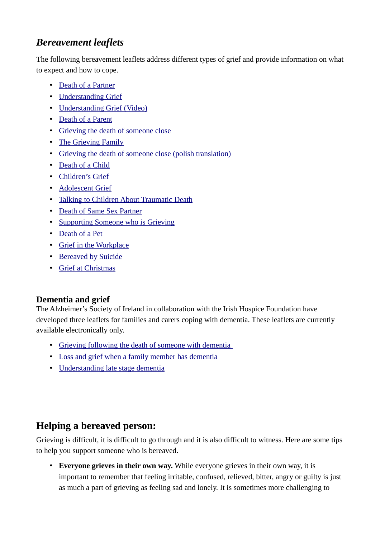# *Bereavement leaflets*

The following bereavement leaflets address different types of grief and provide information on what to expect and how to cope.

- [Death of a Partner](http://hospicefoundation.ie/wp-content/uploads/2012/08/00298-04-IHF-Death-of-Partner-or-Spouse-V4.pdf)
- [Understanding Grief](http://hospicefoundation.ie/wp-content/uploads/2012/08/00298-01-IHF-Understanding-GriefV4.pdf)
- [Understanding Grief \(Video\)](https://www.youtube.com/watch?v=6sA4Yyq2f3w&feature=c4-overview&list=UU6XJSBWEBYir2fzV1RGaMfA)
- [Death of a Parent](http://hospicefoundation.ie/wp-content/uploads/2012/08/00298-05-IHF-Adults-Grieving-Death-of-Parent-V6.pdf)
- [Grieving the death of someone close](http://hospicefoundation.ie/wp-content/uploads/2013/02/03-IHF-Grieving-the-Death-of-someone-close.pdf)
- [The Grieving Family](http://hospicefoundation.ie/wp-content/uploads/2012/08/00298-07-IHF-The-Grieving-Family-V4.pdf)
- [Grieving the death of someone close \(polish translation\)](http://hospicefoundation.ie/wp-content/uploads/2013/02/Grieving-the-Death-of-Someone-Close-POLISH-language-version.pdf)
- [Death of a Child](http://hospicefoundation.ie/wp-content/uploads/2012/08/00298-06-IHF-Grieving-the-Death-of-a-Child-V4.pdf)
- [Children's Grief](http://hospicefoundation.ie/wp-content/uploads/2013/12/08-IHF-Childrens-Grief.pdf)
- [Adolescent Grief](http://hospicefoundation.ie/wp-content/uploads/2013/12/10-IHF-Adolescent-Grief.pdf)
- [Talking to Children About Traumatic Death](http://hospicefoundation.ie/wp-content/uploads/2012/08/00298-09-IHF-Talking-to-Children-About-Death-V4.pdf)
- [Death of Same Sex Partner](http://hospicefoundation.ie/wp-content/uploads/2012/08/00298-14-IHF-Death-of-Same-Sex-Partner-V5.pdf)
- [Supporting Someone who is Grieving](http://hospicefoundation.ie/wp-content/uploads/2012/08/00298-02-IHF-Someone-you-care-about-is-bereaved-V4.pdf)
- [Death of a Pet](http://hospicefoundation.ie/wp-content/uploads/2012/08/00298-15-IHF-Grieving-Loss-of-a-Pet-V4.pdf)
- [Grief in the Workplace](http://hospicefoundation.ie/wp-content/uploads/2012/08/Grief-at-Work-Leaflet.pdf)
- [Bereaved by Suicide](http://hospicefoundation.ie/wp-content/uploads/2013/12/11-IHF-Bereaved-by-Suicide.pdf)
- [Grief at Christmas](http://hospicefoundation.ie/wp-content/uploads/2012/08/00298-13-IHF-Christmas-Bereavement-V4.pdf)

### **Dementia and grief**

The Alzheimer's Society of Ireland in collaboration with the Irish Hospice Foundation have developed three leaflets for families and carers coping with dementia. These leaflets are currently available electronically only.

- Grieving following the death of someone with dementia
- [Loss and grief when a family member has dementia](http://hospicefoundation.ie/wp-content/uploads/2015/03/Alzheimers-society-of-Ireland-Loss-and-grief-when-a-family-member-has-dementia.pdf)
- [Understanding late stage dementia](http://hospicefoundation.ie/wp-content/uploads/2015/03/Alzheimers-society-of-Ireland-Understanding-late-stage-dementia.pdf)

## **Helping a bereaved person:**

Grieving is difficult, it is difficult to go through and it is also difficult to witness. Here are some tips to help you support someone who is bereaved.

• **Everyone grieves in their own way.** While everyone grieves in their own way, it is important to remember that feeling irritable, confused, relieved, bitter, angry or guilty is just as much a part of grieving as feeling sad and lonely. It is sometimes more challenging to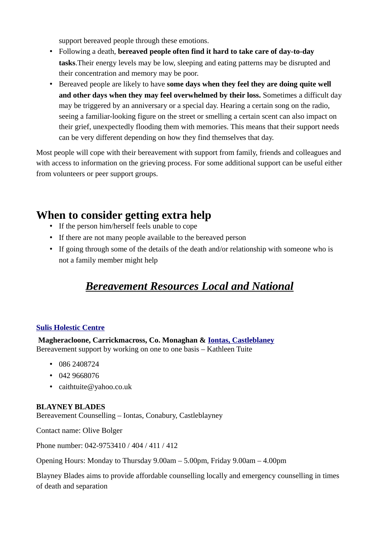support bereaved people through these emotions.

- Following a death, **bereaved people often find it hard to take care of day-to-day tasks**.Their energy levels may be low, sleeping and eating patterns may be disrupted and their concentration and memory may be poor.
- Bereaved people are likely to have **some days when they feel they are doing quite well and other days when they may feel overwhelmed by their loss.** Sometimes a difficult day may be triggered by an anniversary or a special day. Hearing a certain song on the radio, seeing a familiar-looking figure on the street or smelling a certain scent can also impact on their grief, unexpectedly flooding them with memories. This means that their support needs can be very different depending on how they find themselves that day.

Most people will cope with their bereavement with support from family, friends and colleagues and with access to information on the grieving process. For some additional support can be useful either from volunteers or peer support groups.

# **When to consider getting extra help**

- If the person him/herself feels unable to cope
- If there are not many people available to the bereaved person
- If going through some of the details of the death and/or relationship with someone who is not a family member might help

# *Bereavement Resources Local and National*

#### **[Sulis Holestic Centre](http://www.linkedin.com/search?search=&company=SulisHolestic+Centre&sortCriteria=R&keepFacets=true&trk=prof-exp-company-name)**

 **Magheracloone, Carrickmacross, Co. Monaghan & [Iontas, Castleblaney](https://www.facebook.com/pages/Iontas-Castleblaney/244440968916878)** Bereavement support by working on one to one basis – Kathleen Tuite

- 086 2408724
- 042 9668076
- caithtuite@yahoo.co.uk

#### **BLAYNEY BLADES**

Bereavement Counselling – Iontas, Conabury, Castleblayney

Contact name: Olive Bolger

Phone number: 042-9753410 / 404 / 411 / 412

Opening Hours: Monday to Thursday 9.00am – 5.00pm, Friday 9.00am – 4.00pm

Blayney Blades aims to provide affordable counselling locally and emergency counselling in times of death and separation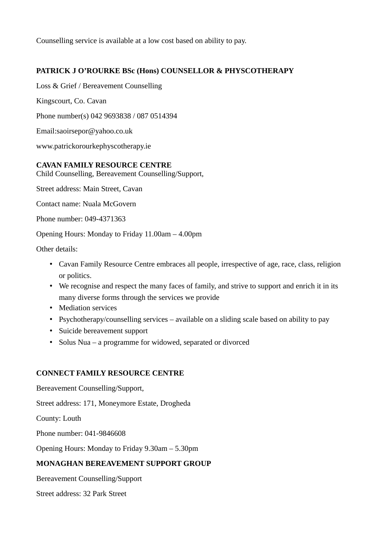Counselling service is available at a low cost based on ability to pay.

### **PATRICK J O'ROURKE BSc (Hons) COUNSELLOR & PHYSCOTHERAPY**

Loss & Grief / Bereavement Counselling

Kingscourt, Co. Cavan

Phone number(s) 042 9693838 / 087 0514394

Email:saoirsepor@yahoo.co.uk

www.patrickorourkephyscotherapy.ie

#### **CAVAN FAMILY RESOURCE CENTRE**

Child Counselling, Bereavement Counselling/Support,

Street address: Main Street, Cavan

Contact name: Nuala McGovern

Phone number: 049-4371363

Opening Hours: Monday to Friday 11.00am – 4.00pm

Other details:

- Cavan Family Resource Centre embraces all people, irrespective of age, race, class, religion or politics.
- We recognise and respect the many faces of family, and strive to support and enrich it in its many diverse forms through the services we provide
- Mediation services
- Psychotherapy/counselling services available on a sliding scale based on ability to pay
- Suicide bereavement support
- Solus Nua a programme for widowed, separated or divorced

#### **CONNECT FAMILY RESOURCE CENTRE**

Bereavement Counselling/Support,

Street address: 171, Moneymore Estate, Drogheda

County: Louth

Phone number: 041-9846608

Opening Hours: Monday to Friday 9.30am – 5.30pm

#### **MONAGHAN BEREAVEMENT SUPPORT GROUP**

Bereavement Counselling/Support

Street address: 32 Park Street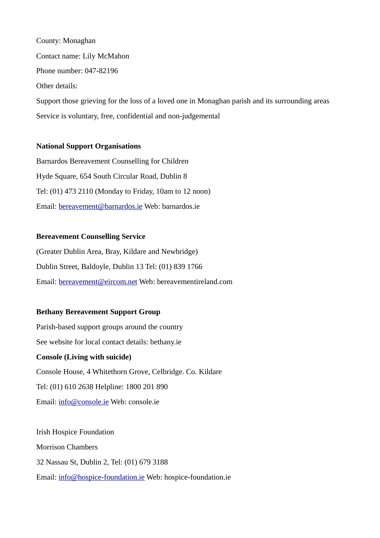County: Monaghan Contact name: Lily McMahon Phone number: 047-82196 Other details: Support those grieving for the loss of a loved one in Monaghan parish and its surrounding areas Service is voluntary, free, confidential and non-judgemental

#### **National Support Organisations**

Barnardos Bereavement Counselling for Children Hyde Square, 654 South Circular Road, Dublin 8 Tel: (01) 473 2110 (Monday to Friday, 10am to 12 noon) Email: [bereavement@barnardos.ie](mailto:bereavement@barnardos.ie) Web: barnardos.ie

#### **Bereavement Counselling Service**

(Greater Dublin Area, Bray, Kildare and Newbridge) Dublin Street, Baldoyle, Dublin 13 Tel: (01) 839 1766 Email: [bereavement@eircom.net](mailto:bereavement@eircom.net) Web: bereavementireland.com

#### **Bethany Bereavement Support Group**

Parish-based support groups around the country See website for local contact details: bethany.ie **Console (Living with suicide)** Console House, 4 Whitethorn Grove, Celbridge. Co. Kildare Tel: (01) 610 2638 Helpline: 1800 201 890 Email: [info@console.ie](mailto:info@console.ie) Web: console.ie

Irish Hospice Foundation Morrison Chambers 32 Nassau St, Dublin 2, Tel: (01) 679 3188 Email: [info@hospice-foundation.ie](mailto:info@hospice-foundation.ie) Web: hospice-foundation.ie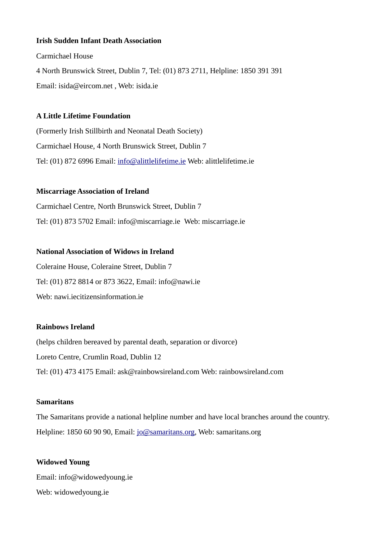#### **Irish Sudden Infant Death Association**

Carmichael House 4 North Brunswick Street, Dublin 7, Tel: (01) 873 2711, Helpline: 1850 391 391 Email: isida@eircom.net , Web: isida.ie

#### **A Little Lifetime Foundation**

(Formerly Irish Stillbirth and Neonatal Death Society) Carmichael House, 4 North Brunswick Street, Dublin 7 Tel: (01) 872 6996 Email: [info@alittlelifetime.ie](mailto:info@alittlelifetime.ie) Web: alittlelifetime.ie

#### **Miscarriage Association of Ireland**

Carmichael Centre, North Brunswick Street, Dublin 7 Tel: (01) 873 5702 Email: info@miscarriage.ie Web: miscarriage.ie

#### **National Association of Widows in Ireland**

Coleraine House, Coleraine Street, Dublin 7 Tel: (01) 872 8814 or 873 3622, Email: info@nawi.ie Web: nawi.iecitizensinformation.ie

### **Rainbows Ireland**

(helps children bereaved by parental death, separation or divorce) Loreto Centre, Crumlin Road, Dublin 12 Tel: (01) 473 4175 Email: ask@rainbowsireland.com Web: rainbowsireland.com

#### **Samaritans**

The Samaritans provide a national helpline number and have local branches around the country. Helpline: 1850 60 90 90, Email: [jo@samaritans.org,](mailto:jo@samaritans.org) Web: samaritans.org

# **Widowed Young** Email: info@widowedyoung.ie Web: widowedyoung.ie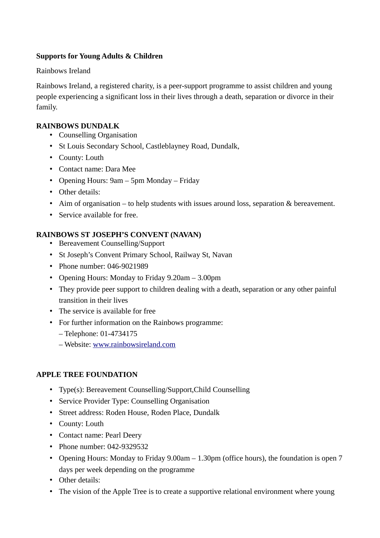#### **Supports for Young Adults & Children**

#### Rainbows Ireland

Rainbows Ireland, a registered charity, is a peer-support programme to assist children and young people experiencing a significant loss in their lives through a death, separation or divorce in their family.

#### **RAINBOWS DUNDALK**

- Counselling Organisation
- St Louis Secondary School, Castleblayney Road, Dundalk,
- County: Louth
- Contact name: Dara Mee
- Opening Hours: 9am 5pm Monday Friday
- Other details:
- Aim of organisation to help students with issues around loss, separation & bereavement.
- Service available for free.

#### **RAINBOWS ST JOSEPH'S CONVENT (NAVAN)**

- Bereavement Counselling/Support
- St Joseph's Convent Primary School, Railway St, Navan
- Phone number: 046-9021989
- Opening Hours: Monday to Friday 9.20am 3.00pm
- They provide peer support to children dealing with a death, separation or any other painful transition in their lives
- The service is available for free
- For further information on the Rainbows programme: – Telephone: 01-4734175
	- Website: [www.rainbowsireland.com](http://www.rainbowsireland.com/)

#### **APPLE TREE FOUNDATION**

- Type(s): Bereavement Counselling/Support,Child Counselling
- Service Provider Type: Counselling Organisation
- Street address: Roden House, Roden Place, Dundalk
- County: Louth
- Contact name: Pearl Deery
- Phone number: 042-9329532
- Opening Hours: Monday to Friday 9.00am 1.30pm (office hours), the foundation is open 7 days per week depending on the programme
- Other details:
- The vision of the Apple Tree is to create a supportive relational environment where young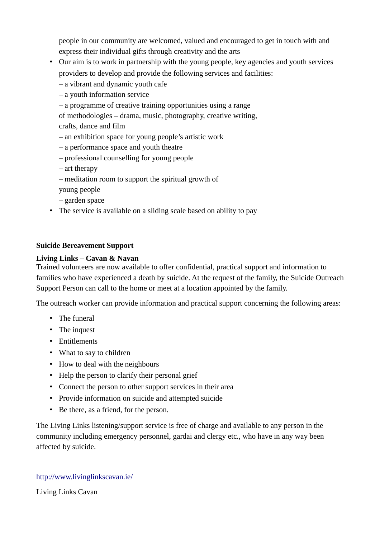people in our community are welcomed, valued and encouraged to get in touch with and express their individual gifts through creativity and the arts

- Our aim is to work in partnership with the young people, key agencies and youth services providers to develop and provide the following services and facilities:
	- a vibrant and dynamic youth cafe
	- a youth information service
	- a programme of creative training opportunities using a range

of methodologies – drama, music, photography, creative writing, crafts, dance and film

- an exhibition space for young people's artistic work
- a performance space and youth theatre
- professional counselling for young people
- art therapy
- meditation room to support the spiritual growth of
- young people
- garden space
- The service is available on a sliding scale based on ability to pay

#### **Suicide Bereavement Support**

#### **Living Links – Cavan & Navan**

Trained volunteers are now available to offer confidential, practical support and information to families who have experienced a death by suicide. At the request of the family, the Suicide Outreach Support Person can call to the home or meet at a location appointed by the family.

The outreach worker can provide information and practical support concerning the following areas:

- The funeral
- The inquest
- Entitlements
- What to say to children
- How to deal with the neighbours
- Help the person to clarify their personal grief
- Connect the person to other support services in their area
- Provide information on suicide and attempted suicide
- Be there, as a friend, for the person.

The Living Links listening/support service is free of charge and available to any person in the community including emergency personnel, gardai and clergy etc., who have in any way been affected by suicide.

#### <http://www.livinglinkscavan.ie/>

Living Links Cavan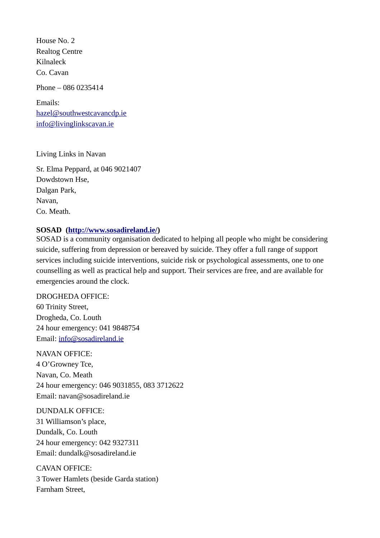House No. 2 Realtog Centre Kilnaleck Co. Cavan

Phone – 086 0235414

Emails: [hazel@southwestcavancdp.ie](mailto:hazel@southwestcavancdp.ie) [info@livinglinkscavan.ie](mailto:info@livinglinkscavan.ie)

Living Links in Navan

Sr. Elma Peppard, at 046 9021407 Dowdstown Hse, Dalgan Park, Navan, Co. Meath.

#### **SOSAD [\(http://www.sosadireland.ie/\)](http://www.sosadireland.ie/)**

SOSAD is a community organisation dedicated to helping all people who might be considering suicide, suffering from depression or bereaved by suicide. They offer a full range of support services including suicide interventions, suicide risk or psychological assessments, one to one counselling as well as practical help and support. Their services are free, and are available for emergencies around the clock.

DROGHEDA OFFICE: 60 Trinity Street, Drogheda, Co. Louth 24 hour emergency: 041 9848754 Email: [info@sosadireland.ie](mailto:info@sosadireland.ie)

NAVAN OFFICE: 4 O'Growney Tce, Navan, Co. Meath 24 hour emergency: 046 9031855, 083 3712622 Email: navan@sosadireland.ie

DUNDALK OFFICE: 31 Williamson's place, Dundalk, Co. Louth 24 hour emergency: 042 9327311 Email: dundalk@sosadireland.ie

CAVAN OFFICE: 3 Tower Hamlets (beside Garda station) Farnham Street,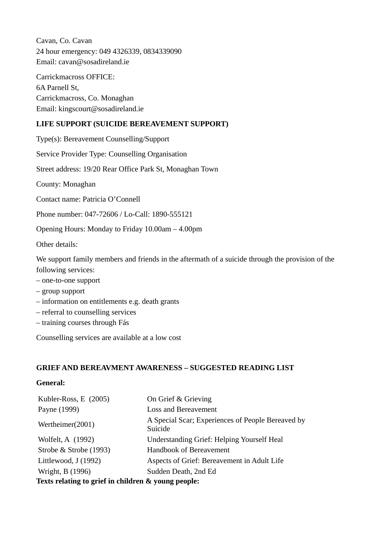Cavan, Co. Cavan 24 hour emergency: 049 4326339, 0834339090 Email: cavan@sosadireland.ie

Carrickmacross OFFICE: 6A Parnell St, Carrickmacross, Co. Monaghan Email: kingscourt@sosadireland.ie

### **LIFE SUPPORT (SUICIDE BEREAVEMENT SUPPORT)**

Type(s): Bereavement Counselling/Support

Service Provider Type: Counselling Organisation

Street address: 19/20 Rear Office Park St, Monaghan Town

County: Monaghan

Contact name: Patricia O'Connell

Phone number: 047-72606 / Lo-Call: 1890-555121

Opening Hours: Monday to Friday 10.00am – 4.00pm

Other details:

We support family members and friends in the aftermath of a suicide through the provision of the following services:

- one-to-one support
- group support
- information on entitlements e.g. death grants
- referral to counselling services
- training courses through Fás

Counselling services are available at a low cost

#### **GRIEF AND BEREAVMENT AWARENESS – SUGGESTED READING LIST**

#### **General:**

| Kubler-Ross, E (2005)                               | On Grief & Grieving                                          |
|-----------------------------------------------------|--------------------------------------------------------------|
| Payne (1999)                                        | <b>Loss and Bereavement</b>                                  |
| Wertheimer(2001)                                    | A Special Scar; Experiences of People Bereaved by<br>Suicide |
| Wolfelt, A (1992)                                   | <b>Understanding Grief: Helping Yourself Heal</b>            |
| Strobe & Strobe (1993)                              | Handbook of Bereavement                                      |
| Littlewood, J (1992)                                | Aspects of Grief: Bereavement in Adult Life                  |
| Wright, B (1996)                                    | Sudden Death, 2nd Ed                                         |
| Texts relating to grief in children & young people: |                                                              |